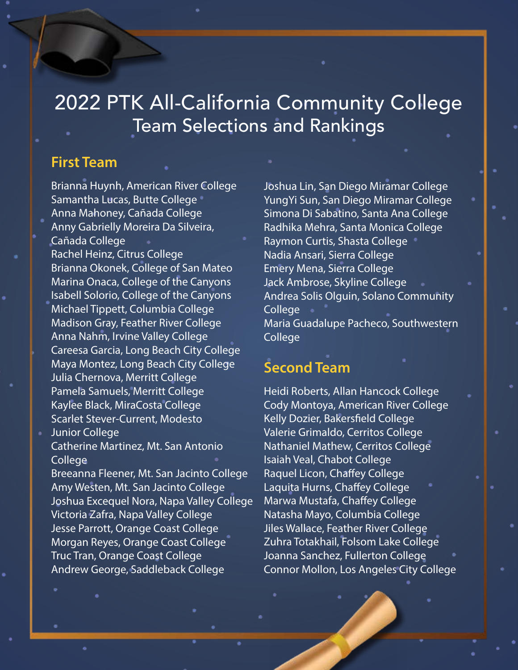## 2022 PTK All-California Community College Team Selections and Rankings

## **First Team**

Brianna Huynh, American River College Samantha Lucas, Butte College Anna Mahoney, Cañada College Anny Gabrielly Moreira Da Silveira, Cañada College Rachel Heinz, Citrus College Brianna Okonek, College of San Mateo Marina Onaca, College of the Canyons Isabell Solorio, College of the Canyons Michael Tippett, Columbia College Madison Gray, Feather River College Anna Nahm, Irvine Valley College Careesa Garcia, Long Beach City College Maya Montez, Long Beach City College Julia Chernova, Merritt College Pamela Samuels, Merritt College Kaylee Black, MiraCosta College Scarlet Stever-Current, Modesto

Junior College Catherine Martinez, Mt. San Antonio College

Breeanna Fleener, Mt. San Jacinto College Amy Westen, Mt. San Jacinto College Joshua Excequel Nora, Napa Valley College Victoria Zafra, Napa Valley College Jesse Parrott, Orange Coast College Morgan Reyes, Orange Coast College Truc Tran, Orange Coast College Andrew George, Saddleback College

Joshua Lin, San Diego Miramar College YungYi Sun, San Diego Miramar College Simona Di Sabatino, Santa Ana College Radhika Mehra, Santa Monica College Raymon Curtis, Shasta College Nadia Ansari, Sierra College Emery Mena, Sierra College Jack Ambrose, Skyline College Andrea Solis Olguin, Solano Community **College** Maria Guadalupe Pacheco, Southwestern College

## **Second Team**

Heidi Roberts, Allan Hancock College Cody Montoya, American River College Kelly Dozier, Bakersfield College Valerie Grimaldo, Cerritos College Nathaniel Mathew, Cerritos College Isaiah Veal, Chabot College Raquel Licon, Chaffey College Laquita Hurns, Chaffey College Marwa Mustafa, Chaffey College Natasha Mayo, Columbia College Jiles Wallace, Feather River College Zuhra Totakhail, Folsom Lake College Joanna Sanchez, Fullerton College Connor Mollon, Los Angeles City College